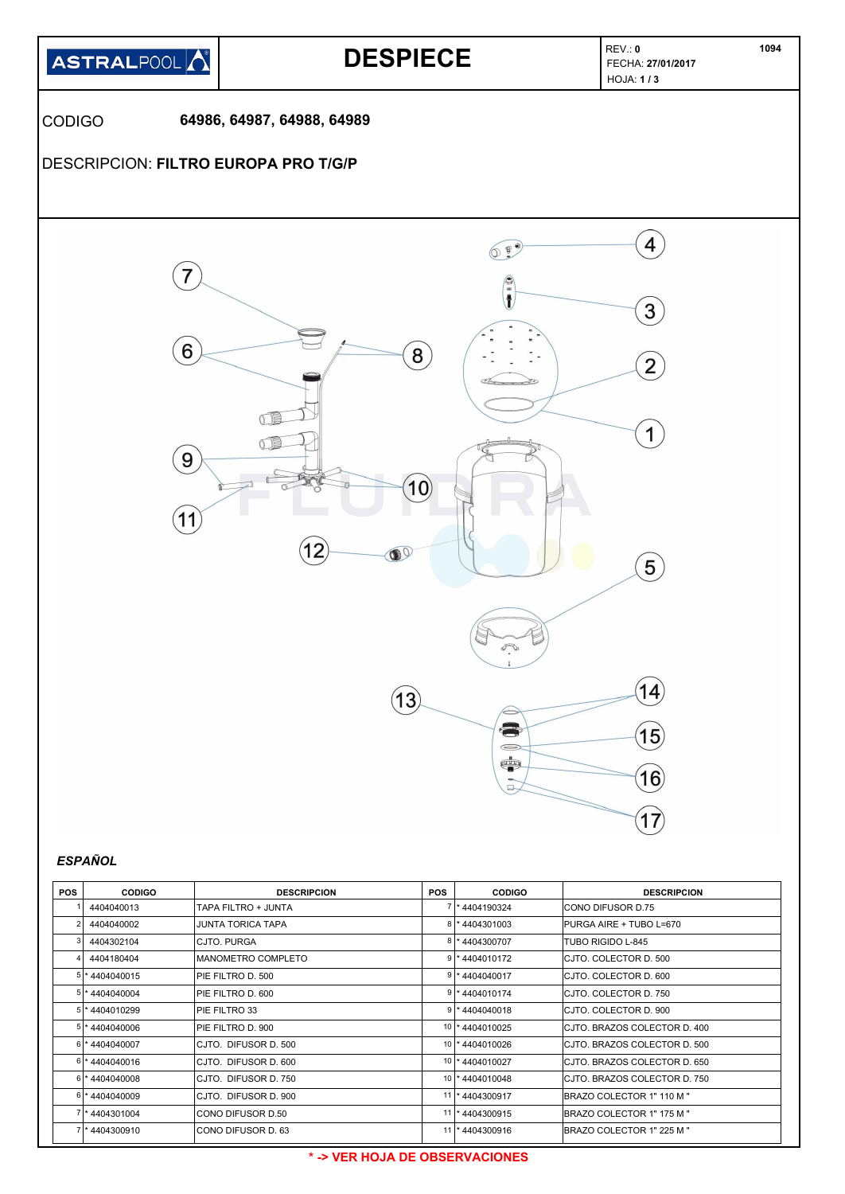

| <b>POS</b> | <b>CODIGO</b>     | <b>DESCRIPCION</b>   | <b>POS</b> | <b>CODIGO</b>     | <b>DESCRIPCION</b>            |
|------------|-------------------|----------------------|------------|-------------------|-------------------------------|
|            | 4404040013        | TAPA FILTRO + JUNTA  |            | 7 * 4404190324    | ICONO DIFUSOR D.75            |
|            | 4404040002        | JUNTA TORICA TAPA    |            | 8 * 4404301003    | PURGA AIRE + TUBO L=670       |
|            | 4404302104        | CJTO, PURGA          |            | 8 * 4404300707    | TUBO RIGIDO L-845             |
|            | 4404180404        | MANOMETRO COMPLETO   |            | $9$  * 4404010172 | CJTO. COLECTOR D. 500         |
|            | 5 * 4404040015    | PIE FILTRO D. 500    |            | $9$  * 4404040017 | CJTO. COLECTOR D. 600         |
|            | 5 * 4404040004    | IPIE FILTRO D. 600   |            | 9 * 4404010174    | ICJTO. COLECTOR D. 750        |
|            | $5$  * 4404010299 | PIE FILTRO 33        |            | 9 * 4404040018    | CJTO. COLECTOR D. 900         |
|            | $5$  * 4404040006 | PIE FILTRO D. 900    |            | 10 * 4404010025   | CJTO. BRAZOS COLECTOR D. 400  |
|            | 6 *4404040007     | CJTO. DIFUSOR D. 500 |            | 10  * 4404010026  | ICJTO. BRAZOS COLECTOR D. 500 |
|            | 6 * 4404040016    | CJTO. DIFUSOR D. 600 |            | 10  * 4404010027  | CJTO. BRAZOS COLECTOR D. 650  |
|            | $6$  * 4404040008 | CJTO. DIFUSOR D. 750 |            | 10  * 4404010048  | CJTO. BRAZOS COLECTOR D. 750  |
|            | 6 *4404040009     | CJTO. DIFUSOR D. 900 |            | 11  * 4404300917  | BRAZO COLECTOR 1" 110 M "     |
|            | 7 * 4404301004    | CONO DIFUSOR D.50    |            | 11  * 4404300915  | BRAZO COLECTOR 1" 175 M "     |
|            | 7 * 4404300910    | CONO DIFUSOR D. 63   |            | 11  * 4404300916  | BRAZO COLECTOR 1" 225 M "     |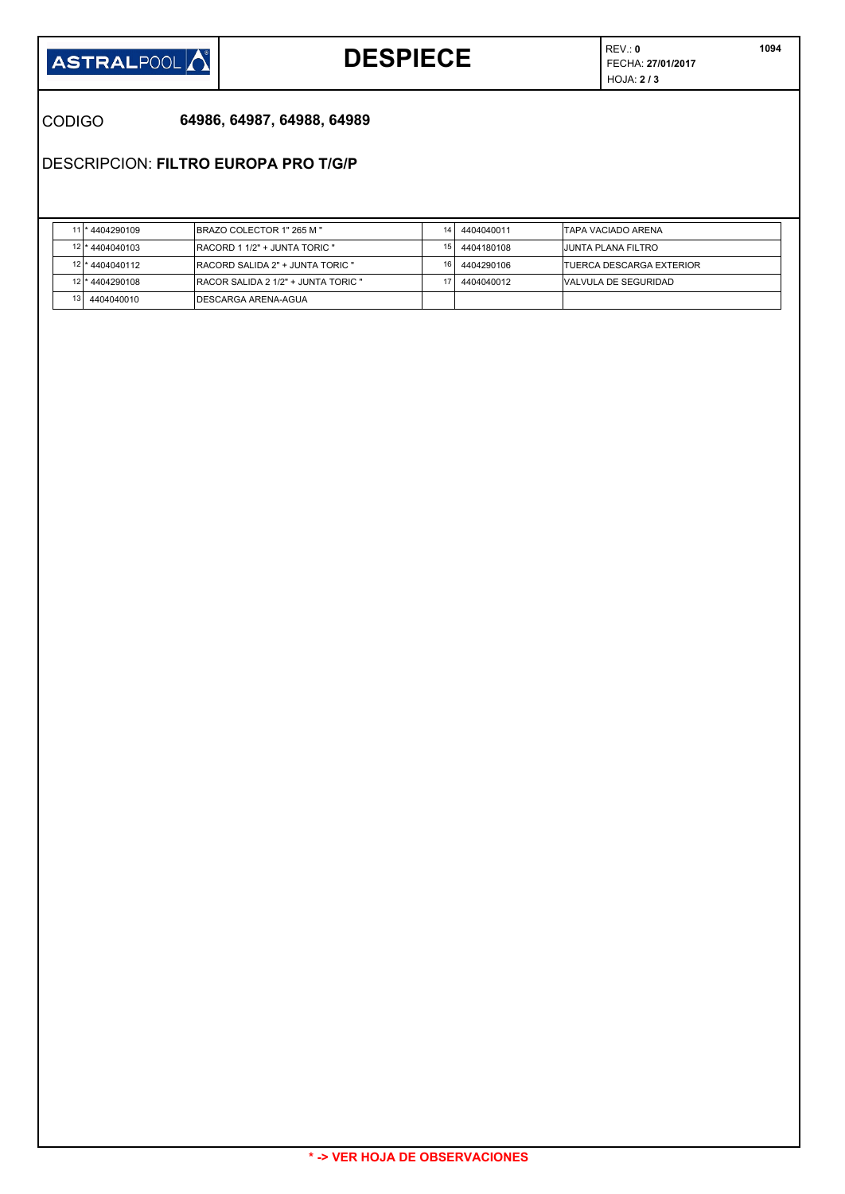

# **DESPIECE FECHA: 27/01/2017**

REV.: **0** HOJA: **2 / 3** 

CODIGO **64986, 64987, 64988, 64989**

DESCRIPCION: **FILTRO EUROPA PRO T/G/P**

|                 | 11 * 4404290109   | <b>IBRAZO COLECTOR 1" 265 M "</b>           | 14              | 4404040011 | <b>ITAPA VACIADO ARENA</b>       |
|-----------------|-------------------|---------------------------------------------|-----------------|------------|----------------------------------|
| 12 <sub>1</sub> | *4404040103       | <b>IRACORD 1 1/2" + JUNTA TORIC "</b>       | 15              | 4404180108 | <b>JUNTA PLANA FILTRO</b>        |
|                 | 12 * 4404040112   | <b>RACORD SALIDA 2" + JUNTA TORIC "</b>     | 16 <sub>1</sub> | 4404290106 | <b>ITUERCA DESCARGA EXTERIOR</b> |
|                 | 12   * 4404290108 | <b>IRACOR SALIDA 2 1/2" + JUNTA TORIC "</b> |                 | 4404040012 | <b>NALVULA DE SEGURIDAD</b>      |
| 13 <sub>l</sub> | 4404040010        | IDESCARGA ARENA-AGUA                        |                 |            |                                  |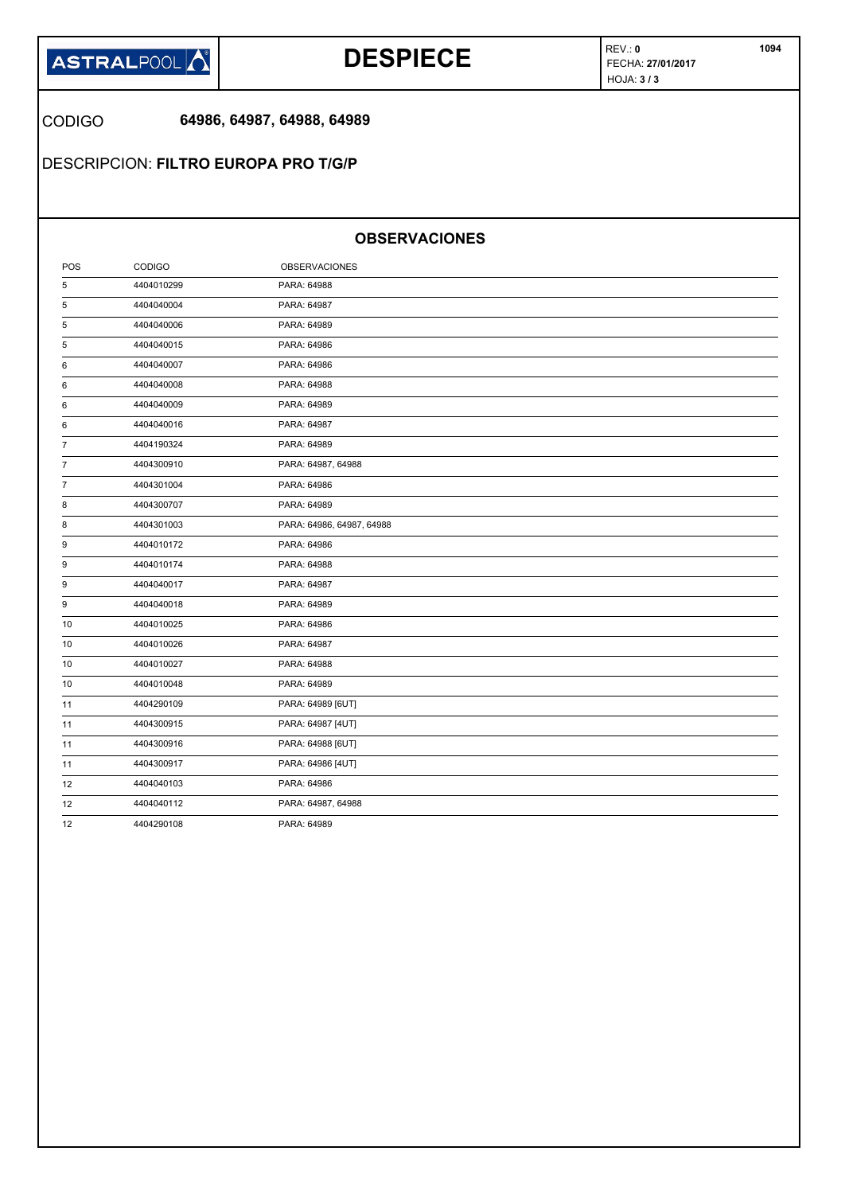

## **DESPIECE FECHA: 27/01/2017**

REV.: **0** HOJA: **3 / 3** 

CODIGO **64986, 64987, 64988, 64989**

DESCRIPCION: **FILTRO EUROPA PRO T/G/P**

### **OBSERVACIONES**

| POS | <b>CODIGO</b> | <b>OBSERVACIONES</b>      |
|-----|---------------|---------------------------|
| 5   | 4404010299    | PARA: 64988               |
| 5   | 4404040004    | PARA: 64987               |
| 5   | 4404040006    | PARA: 64989               |
| 5   | 4404040015    | PARA: 64986               |
| 6   | 4404040007    | PARA: 64986               |
| 6   | 4404040008    | PARA: 64988               |
| 6   | 4404040009    | PARA: 64989               |
| 6   | 4404040016    | PARA: 64987               |
| 7   | 4404190324    | PARA: 64989               |
| 7   | 4404300910    | PARA: 64987, 64988        |
| 7   | 4404301004    | PARA: 64986               |
| 8   | 4404300707    | PARA: 64989               |
| 8   | 4404301003    | PARA: 64986, 64987, 64988 |
| 9   | 4404010172    | PARA: 64986               |
| 9   | 4404010174    | PARA: 64988               |
| 9   | 4404040017    | PARA: 64987               |
| 9   | 4404040018    | PARA: 64989               |
| 10  | 4404010025    | PARA: 64986               |
| 10  | 4404010026    | PARA: 64987               |
| 10  | 4404010027    | PARA: 64988               |
| 10  | 4404010048    | PARA: 64989               |
| 11  | 4404290109    | PARA: 64989 [6UT]         |
| 11  | 4404300915    | PARA: 64987 [4UT]         |
| 11  | 4404300916    | PARA: 64988 [6UT]         |
| 11  | 4404300917    | PARA: 64986 [4UT]         |
| 12  | 4404040103    | PARA: 64986               |
| 12  | 4404040112    | PARA: 64987, 64988        |
| 12  | 4404290108    | PARA: 64989               |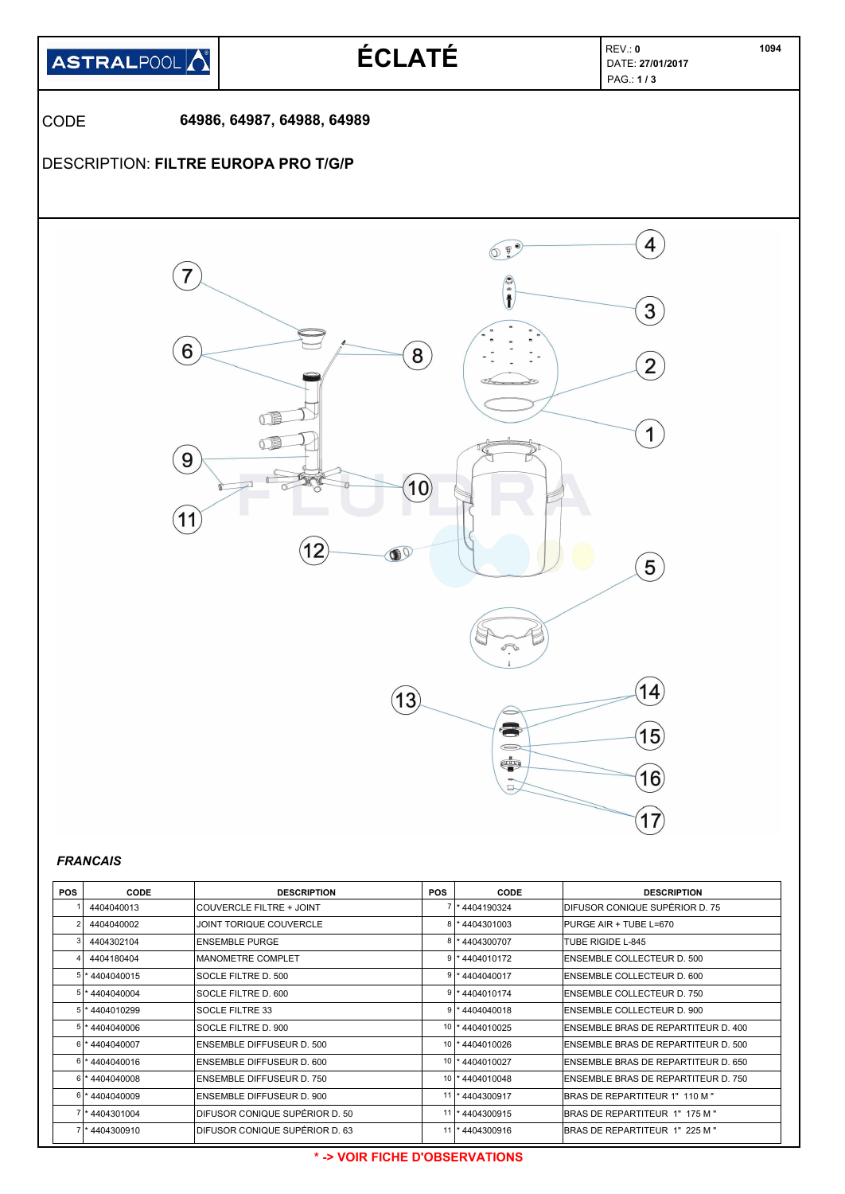

| <b>POS</b> | <b>CODE</b>       | <b>DESCRIPTION</b>               | <b>POS</b> | <b>CODE</b>             | <b>DESCRIPTION</b>                   |
|------------|-------------------|----------------------------------|------------|-------------------------|--------------------------------------|
|            | 4404040013        | COUVERCLE FILTRE + JOINT         |            | 1* 4404190324           | IDIFUSOR CONIQUE SUPÉRIOR D. 75      |
|            | 4404040002        | JOINT TORIQUE COUVERCLE          |            | <sup>*</sup> 4404301003 | PURGE AIR + TUBE L=670               |
|            | 4404302104        | <b>ENSEMBLE PURGE</b>            |            | 8 * 4404300707          | <b>TUBE RIGIDE L-845</b>             |
|            | 4404180404        | <b>IMANOMETRE COMPLET</b>        |            | $9$  * 4404010172       | <b>ENSEMBLE COLLECTEUR D. 500</b>    |
|            | 5 * 4404040015    | SOCLE FILTRE D. 500              |            | 9 * 4404040017          | ENSEMBLE COLLECTEUR D. 600           |
|            | 5 * 4404040004    | SOCLE FILTRE D. 600              |            | 9 * 4404010174          | <b>ENSEMBLE COLLECTEUR D. 750</b>    |
|            | $5$  * 4404010299 | <b>SOCLE FILTRE 33</b>           |            | $9$   * 4404040018      | <b>ENSEMBLE COLLECTEUR D. 900</b>    |
|            | 5 * 4404040006    | SOCLE FILTRE D. 900              |            | 10 * 4404010025         | ENSEMBLE BRAS DE REPARTITEUR D. 400  |
|            | 6 * 4404040007    | <b>ENSEMBLE DIFFUSEUR D. 500</b> |            | 10 * 4404010026         | ENSEMBLE BRAS DE REPARTITEUR D. 500  |
|            | 6 * 4404040016    | ENSEMBLE DIFFUSEUR D. 600        |            | 10 * 4404010027         | ENSEMBLE BRAS DE REPARTITEUR D. 650  |
|            | $6$  * 4404040008 | ENSEMBLE DIFFUSEUR D. 750        |            | 10 * 4404010048         | IENSEMBLE BRAS DE REPARTITEUR D. 750 |
|            | 6 *4404040009     | ENSEMBLE DIFFUSEUR D. 900        |            | 11  * 4404300917        | BRAS DE REPARTITEUR 1" 110 M "       |
|            | 7 * 4404301004    | IDIFUSOR CONIQUE SUPÉRIOR D. 50  |            | 11  * 4404300915        | BRAS DE REPARTITEUR 1" 175 M "       |
|            | 7 * 4404300910    | DIFUSOR CONIQUE SUPÉRIOR D. 63   |            | 11  * 4404300916        | BRAS DE REPARTITEUR 1" 225 M "       |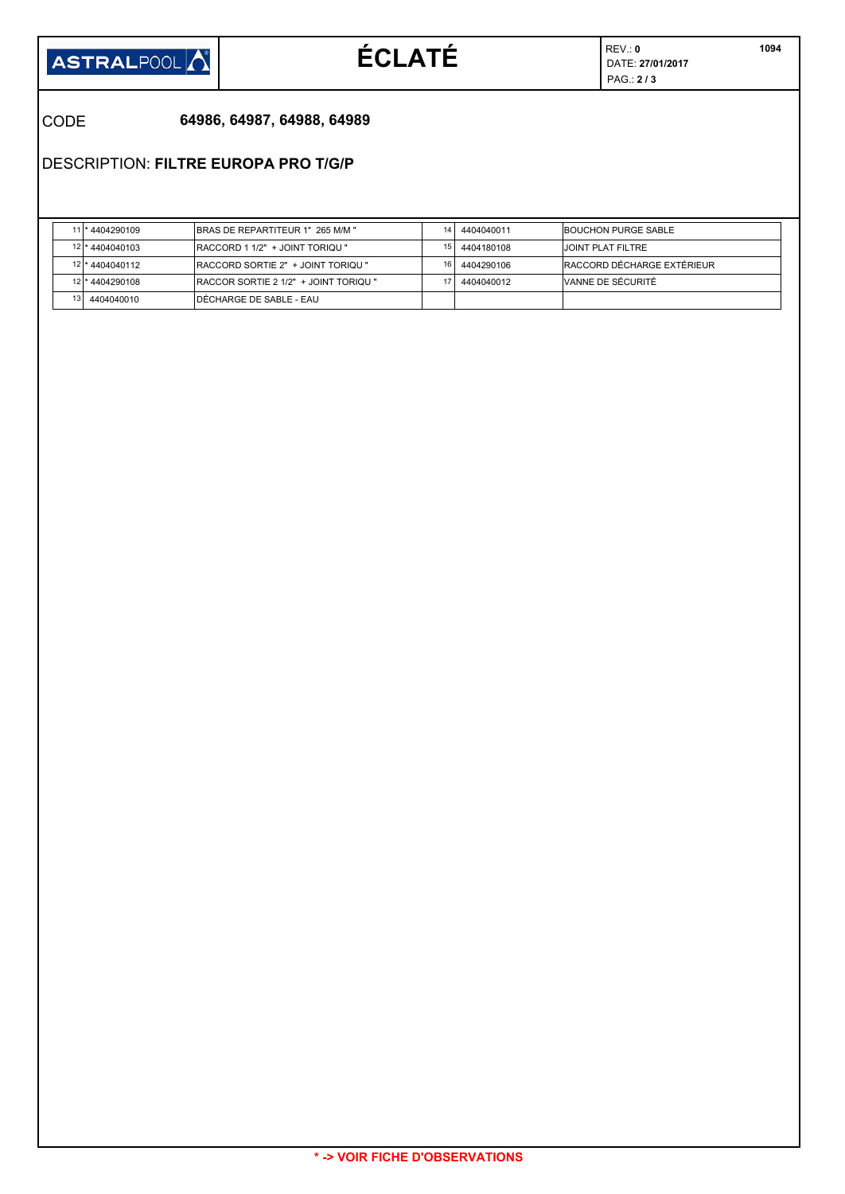

# $ÉCLATÉ$

REV.: **0** PAG.: **2 / 3** 

CODE **64986, 64987, 64988, 64989**

DESCRIPTION: **FILTRE EUROPA PRO T/G/P**

|     | *4404290109     | <b>BRAS DE REPARTITEUR 1" 265 M/M "</b>      | 14. | 4404040011 | BOUCHON PURGE SABLE        |
|-----|-----------------|----------------------------------------------|-----|------------|----------------------------|
|     | 12 * 4404040103 | <b>IRACCORD 1 1/2" + JOINT TORIQU "</b>      | 15  | 4404180108 | <b>JOINT PLAT FILTRE</b>   |
|     | 12 * 4404040112 | <b>IRACCORD SORTIE 2" + JOINT TORIQU "</b>   | 16  | 4404290106 | RACCORD DÉCHARGE EXTÉRIEUR |
|     | 12 * 4404290108 | <b>RACCOR SORTIE 2 1/2" + JOINT TORIQU "</b> |     | 4404040012 | VANNE DE SÉCURITÉ          |
| 131 | 4404040010      | IDÉCHARGE DE SABLE - EAU                     |     |            |                            |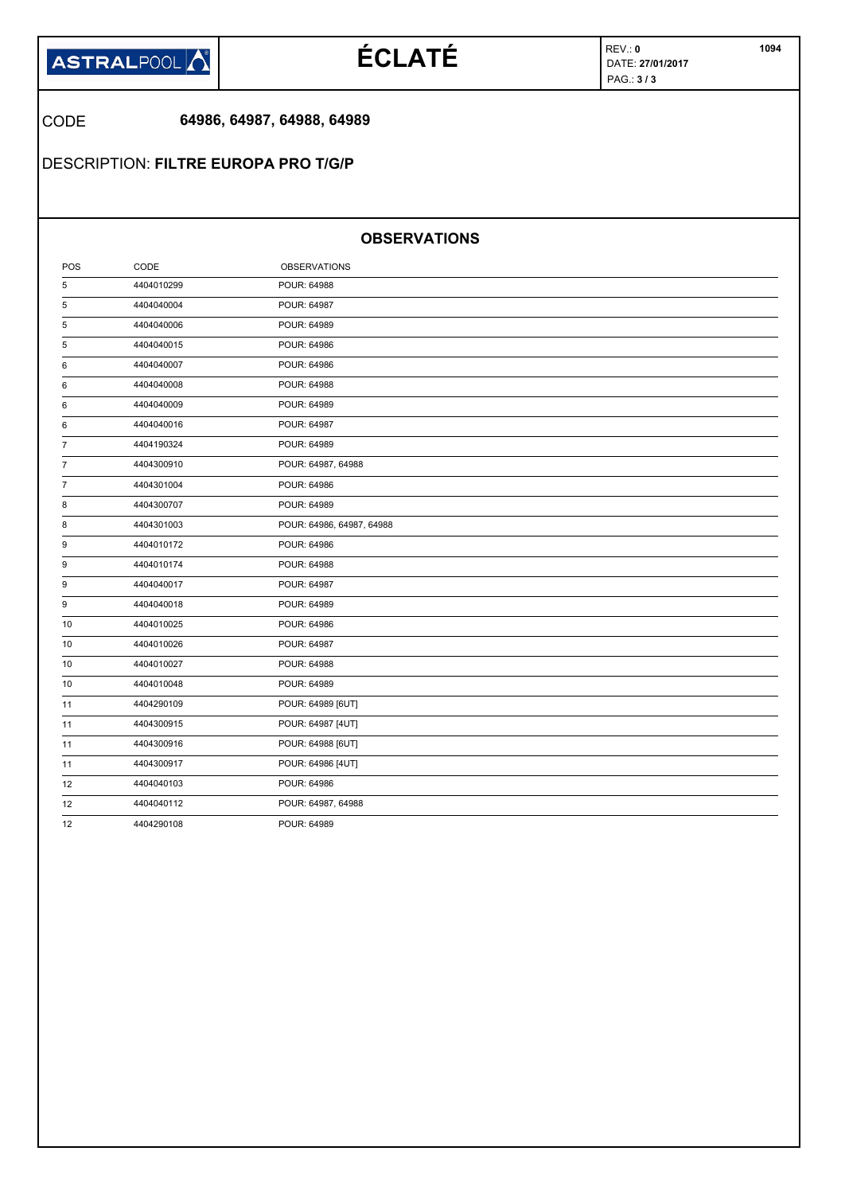

# $ÉCLATÉ$

REV.: **0** PAG.: **3 / 3** 

### CODE **64986, 64987, 64988, 64989**

DESCRIPTION: **FILTRE EUROPA PRO T/G/P**

### **OBSERVATIONS**

| POS            | CODE       | <b>OBSERVATIONS</b>       |
|----------------|------------|---------------------------|
| 5              | 4404010299 | POUR: 64988               |
| 5              | 4404040004 | POUR: 64987               |
| 5              | 4404040006 | POUR: 64989               |
| 5              | 4404040015 | POUR: 64986               |
| 6              | 4404040007 | POUR: 64986               |
| 6              | 4404040008 | POUR: 64988               |
| 6              | 4404040009 | POUR: 64989               |
| 6              | 4404040016 | POUR: 64987               |
| $\overline{7}$ | 4404190324 | POUR: 64989               |
| 7              | 4404300910 | POUR: 64987, 64988        |
| 7              | 4404301004 | POUR: 64986               |
| 8              | 4404300707 | POUR: 64989               |
| 8              | 4404301003 | POUR: 64986, 64987, 64988 |
| 9              | 4404010172 | POUR: 64986               |
| 9              | 4404010174 | POUR: 64988               |
| 9              | 4404040017 | POUR: 64987               |
| 9              | 4404040018 | POUR: 64989               |
| 10             | 4404010025 | POUR: 64986               |
| 10             | 4404010026 | POUR: 64987               |
| 10             | 4404010027 | POUR: 64988               |
| 10             | 4404010048 | POUR: 64989               |
| 11             | 4404290109 | POUR: 64989 [6UT]         |
| 11             | 4404300915 | POUR: 64987 [4UT]         |
| 11             | 4404300916 | POUR: 64988 [6UT]         |
| 11             | 4404300917 | POUR: 64986 [4UT]         |
| 12             | 4404040103 | POUR: 64986               |
| 12             | 4404040112 | POUR: 64987, 64988        |
| 12             | 4404290108 | POUR: 64989               |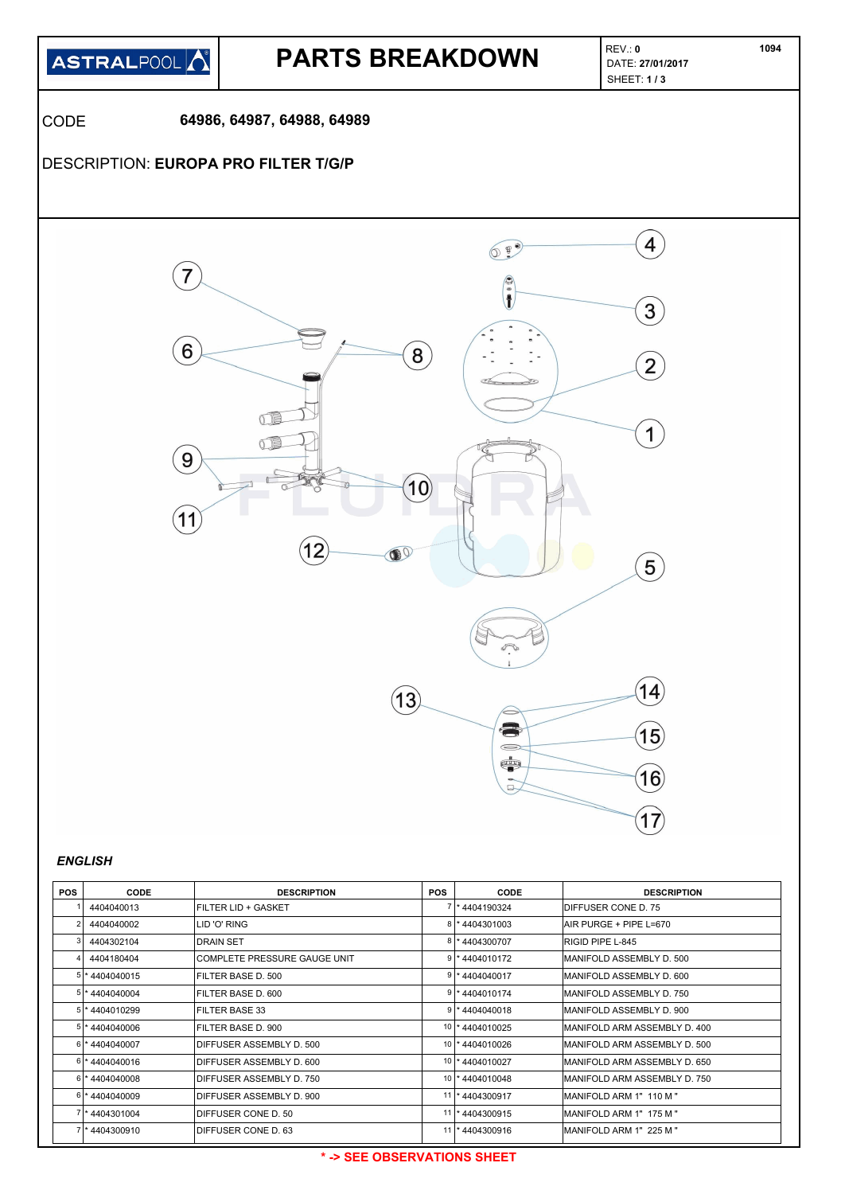

## **PARTS BREAKDOWN**

REV.: **0** SHEET: **1 / 3** 

CODE **64986, 64987, 64988, 64989**

### DESCRIPTION: **EUROPA PRO FILTER T/G/P**



#### *ENGLISH*

| <b>POS</b> | <b>CODE</b>       | <b>DESCRIPTION</b>           | <b>POS</b> | CODE               | <b>DESCRIPTION</b>            |
|------------|-------------------|------------------------------|------------|--------------------|-------------------------------|
|            | 4404040013        | IFILTER LID + GASKET         |            | 7 * 4404190324     | <b>IDIFFUSER CONE D. 75</b>   |
|            | 4404040002        | LID 'O' RING                 | 8          | *4404301003        | AIR PURGE + PIPE L=670        |
|            | 4404302104        | <b>DRAIN SET</b>             |            | * 4404300707       | RIGID PIPE L-845              |
|            | 4404180404        | COMPLETE PRESSURE GAUGE UNIT |            | *4404010172        | MANIFOLD ASSEMBLY D. 500      |
|            | 5 * 4404040015    | IFILTER BASE D. 500          |            | *4404040017        | IMANIFOLD ASSEMBLY D. 600     |
|            | 5 * 4404040004    | FILTER BASE D. 600           |            | $9$  * 4404010174  | MANIFOLD ASSEMBLY D. 750      |
|            | $5$  * 4404010299 | IFILTER BASE 33              |            | $9$   * 4404040018 | IMANIFOLD ASSEMBLY D. 900     |
|            | 5 * 4404040006    | FILTER BASE D. 900           |            | 10 * 4404010025    | MANIFOLD ARM ASSEMBLY D. 400  |
|            | 6 *4404040007     | DIFFUSER ASSEMBLY D. 500     |            | 10   * 4404010026  | MANIFOLD ARM ASSEMBLY D. 500  |
|            | 6 * 4404040016    | DIFFUSER ASSEMBLY D. 600     |            | 10   * 4404010027  | IMANIFOLD ARM ASSEMBLY D. 650 |
|            | $6$ * 4404040008  | DIFFUSER ASSEMBLY D. 750     |            | 10 * 4404010048    | MANIFOLD ARM ASSEMBLY D. 750  |
|            | 6 *4404040009     | DIFFUSER ASSEMBLY D. 900     |            | 11  * 4404300917   | IMANIFOLD ARM 1" 110 M "      |
|            | 7 * 4404301004    | DIFFUSER CONE D. 50          |            | 11 * 4404300915    | MANIFOLD ARM 1" 175 M "       |
|            | 4404300910        | DIFFUSER CONE D. 63          | 11         | * 4404300916       | MANIFOLD ARM 1" 225 M "       |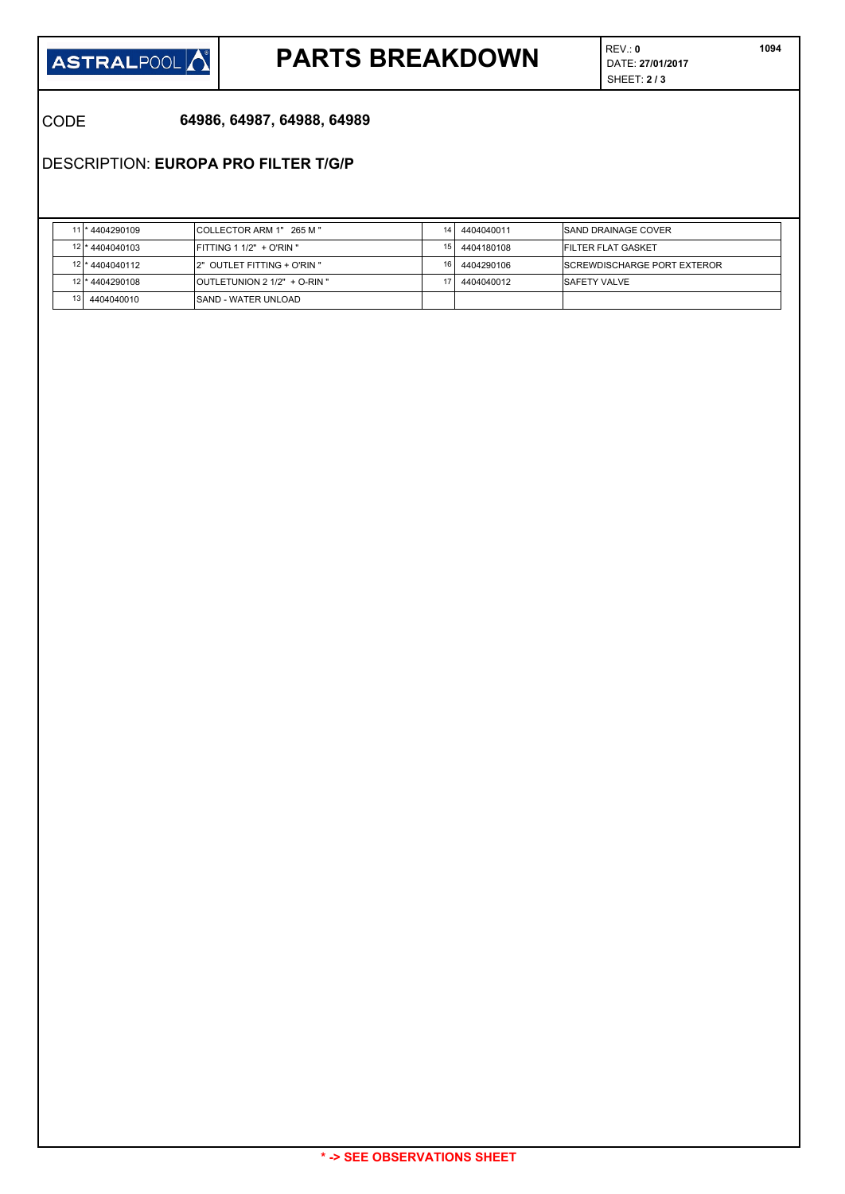

# **PARTS BREAKDOWN DATE: 27/01/2017**

REV.: **0** SHEET: **2 / 3**   **1094**

CODE **64986, 64987, 64988, 64989**

DESCRIPTION: **EUROPA PRO FILTER T/G/P**

|  | 11 * 4404290109 | ICOLLECTOR ARM 1" 265 M "           | 14              | 4404040011 | <b>SAND DRAINAGE COVER</b>          |
|--|-----------------|-------------------------------------|-----------------|------------|-------------------------------------|
|  | 12 * 4404040103 | $FITTING 1 1/2" + O'RIN"$           | 15 I            | 4404180108 | <b>FILTER FLAT GASKET</b>           |
|  | 12 * 4404040112 | 2" OUTLET FITTING + O'RIN "         | 16 <sub>1</sub> | 4404290106 | <b>ISCREWDISCHARGE PORT EXTEROR</b> |
|  | 12 * 4404290108 | <b>OUTLETUNION 2 1/2" + O-RIN "</b> |                 | 4404040012 | <b>ISAFETY VALVE</b>                |
|  | 4404040010      | ISAND - WATER UNLOAD                |                 |            |                                     |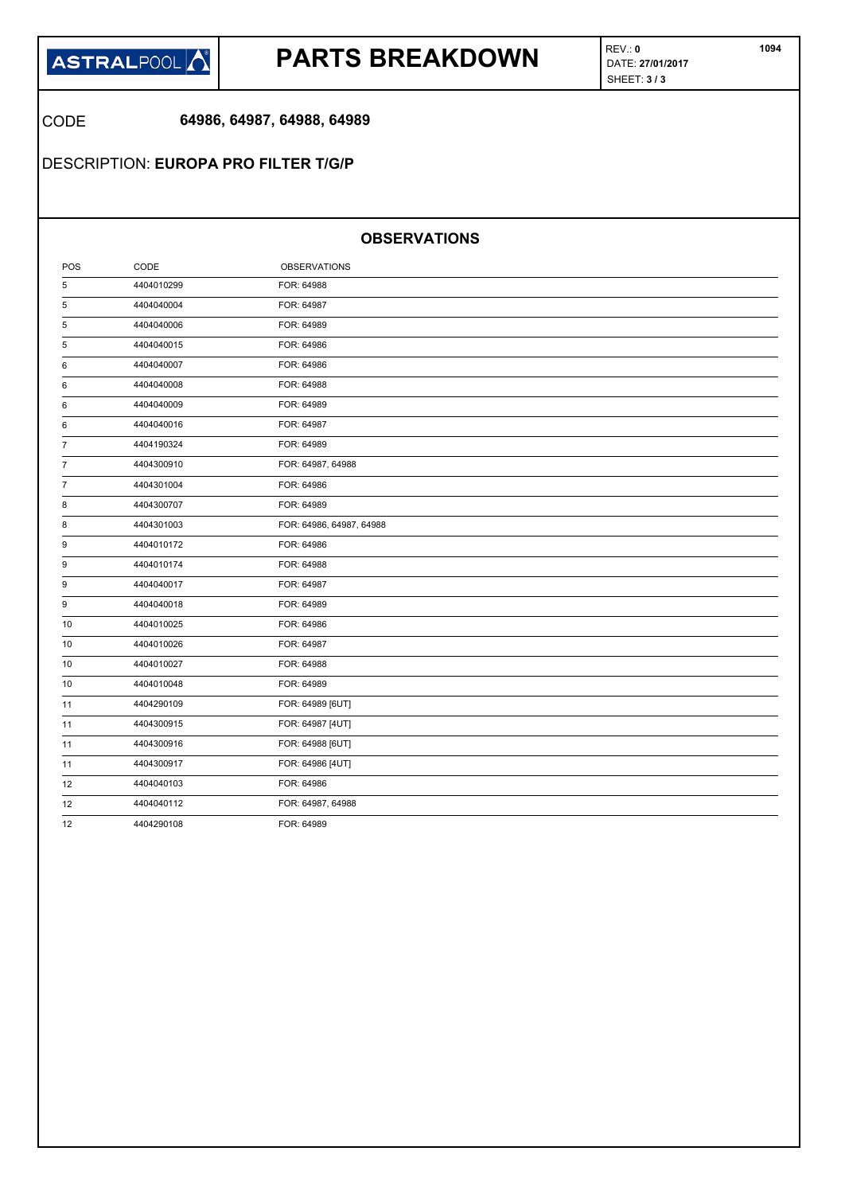

## **PARTS BREAKDOWN DATE:** 27/01/2017

REV.: **0** SHEET: **3 / 3** 

CODE **64986, 64987, 64988, 64989**

DESCRIPTION: **EUROPA PRO FILTER T/G/P**

#### **OBSERVATIONS**

| POS            | CODE       | <b>OBSERVATIONS</b>      |  |
|----------------|------------|--------------------------|--|
| 5              | 4404010299 | FOR: 64988               |  |
| 5              | 4404040004 | FOR: 64987               |  |
| 5              | 4404040006 | FOR: 64989               |  |
| 5              | 4404040015 | FOR: 64986               |  |
| 6              | 4404040007 | FOR: 64986               |  |
| 6              | 4404040008 | FOR: 64988               |  |
| 6              | 4404040009 | FOR: 64989               |  |
| 6              | 4404040016 | FOR: 64987               |  |
| 7              | 4404190324 | FOR: 64989               |  |
| $\overline{7}$ | 4404300910 | FOR: 64987, 64988        |  |
| $\overline{7}$ | 4404301004 | FOR: 64986               |  |
| 8              | 4404300707 | FOR: 64989               |  |
| 8              | 4404301003 | FOR: 64986, 64987, 64988 |  |
| 9              | 4404010172 | FOR: 64986               |  |
| 9              | 4404010174 | FOR: 64988               |  |
| 9              | 4404040017 | FOR: 64987               |  |
| 9              | 4404040018 | FOR: 64989               |  |
| 10             | 4404010025 | FOR: 64986               |  |
| 10             | 4404010026 | FOR: 64987               |  |
| 10             | 4404010027 | FOR: 64988               |  |
| 10             | 4404010048 | FOR: 64989               |  |
| 11             | 4404290109 | FOR: 64989 [6UT]         |  |
| 11             | 4404300915 | FOR: 64987 [4UT]         |  |
| 11             | 4404300916 | FOR: 64988 [6UT]         |  |
| 11             | 4404300917 | FOR: 64986 [4UT]         |  |
| 12             | 4404040103 | FOR: 64986               |  |
| 12             | 4404040112 | FOR: 64987, 64988        |  |
| 12             | 4404290108 | FOR: 64989               |  |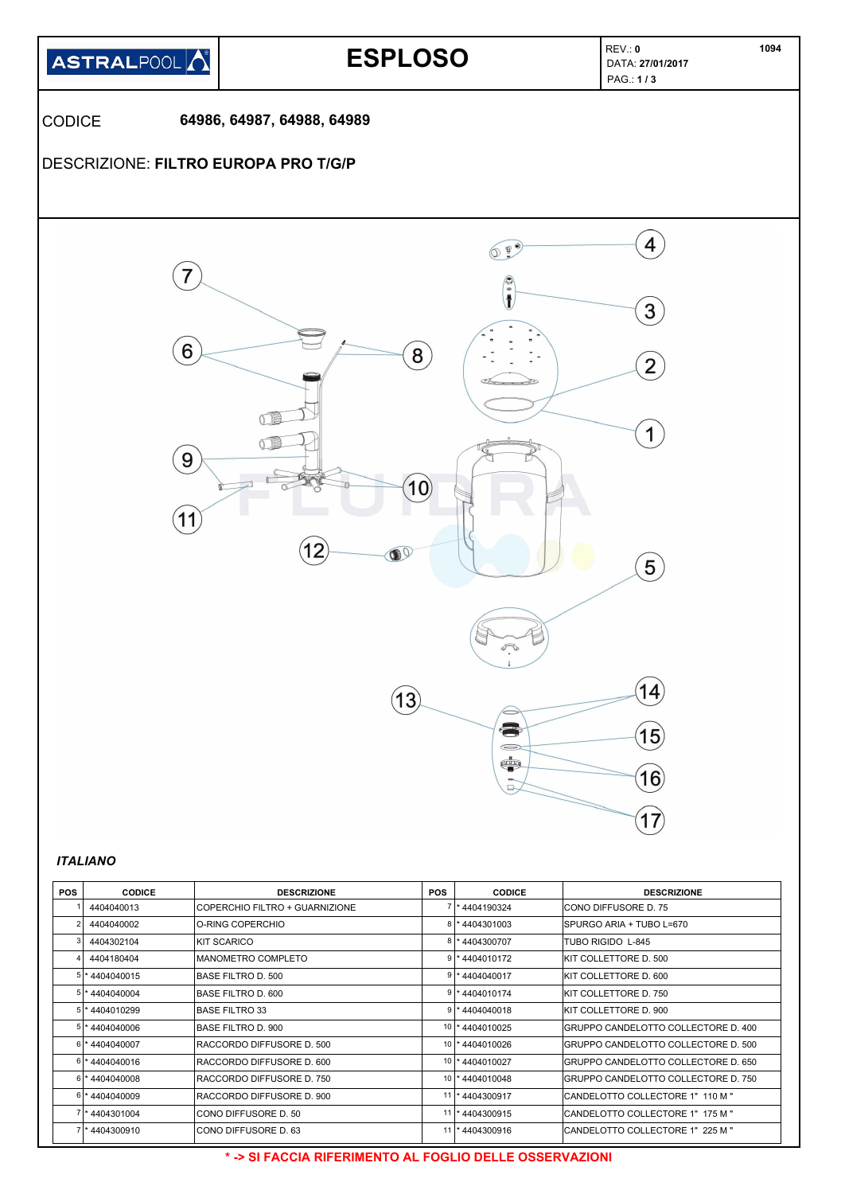

| <b>POS</b> | <b>CODICE</b>     | <b>DESCRIZIONE</b>             | <b>POS</b> | <b>CODICE</b>     | <b>DESCRIZIONE</b>                   |
|------------|-------------------|--------------------------------|------------|-------------------|--------------------------------------|
|            | 4404040013        | COPERCHIO FILTRO + GUARNIZIONE |            | * 4404190324      | ICONO DIFFUSORE D. 75                |
|            | 4404040002        | O-RING COPERCHIO               |            | 4404301003        | SPURGO ARIA + TUBO L=670             |
|            | 4404302104        | KIT SCARICO                    |            | 4404300707        | TUBO RIGIDO L-845                    |
|            | 4404180404        | <b>MANOMETRO COMPLETO</b>      |            | $9$  * 4404010172 | KIT COLLETTORE D. 500                |
| 5 I        | * 4404040015      | BASE FILTRO D. 500             |            | 4404040017        | KIT COLLETTORE D. 600                |
|            | 5 * 4404040004    | BASE FILTRO D. 600             |            | 9 * 4404010174    | KIT COLLETTORE D. 750                |
|            | $5$  * 4404010299 | <b>BASE FILTRO 33</b>          |            | *4404040018       | KIT COLLETTORE D. 900                |
|            | $5$ * 4404040006  | BASE FILTRO D. 900             |            | 10 * 4404010025   | GRUPPO CANDELOTTO COLLECTORE D. 400  |
|            | 6 * 4404040007    | RACCORDO DIFFUSORE D. 500      | 10         | * 4404010026      | GRUPPO CANDELOTTO COLLECTORE D. 500  |
|            | 6 * 4404040016    | RACCORDO DIFFUSORE D. 600      |            | 10   * 4404010027 | IGRUPPO CANDELOTTO COLLECTORE D. 650 |
|            | $6$  * 4404040008 | RACCORDO DIFFUSORE D. 750      |            | 10   * 4404010048 | IGRUPPO CANDELOTTO COLLECTORE D. 750 |
|            | 6 *4404040009     | RACCORDO DIFFUSORE D. 900      |            | 11  * 4404300917  | CANDELOTTO COLLECTORE 1" 110 M "     |
|            | * 4404301004      | CONO DIFFUSORE D. 50           | 11         | *4404300915       | ICANDELOTTO COLLECTORE 1" 175 M "    |
|            | 4404300910        | CONO DIFFUSORE D. 63           |            | 11  * 4404300916  | CANDELOTTO COLLECTORE 1" 225 M "     |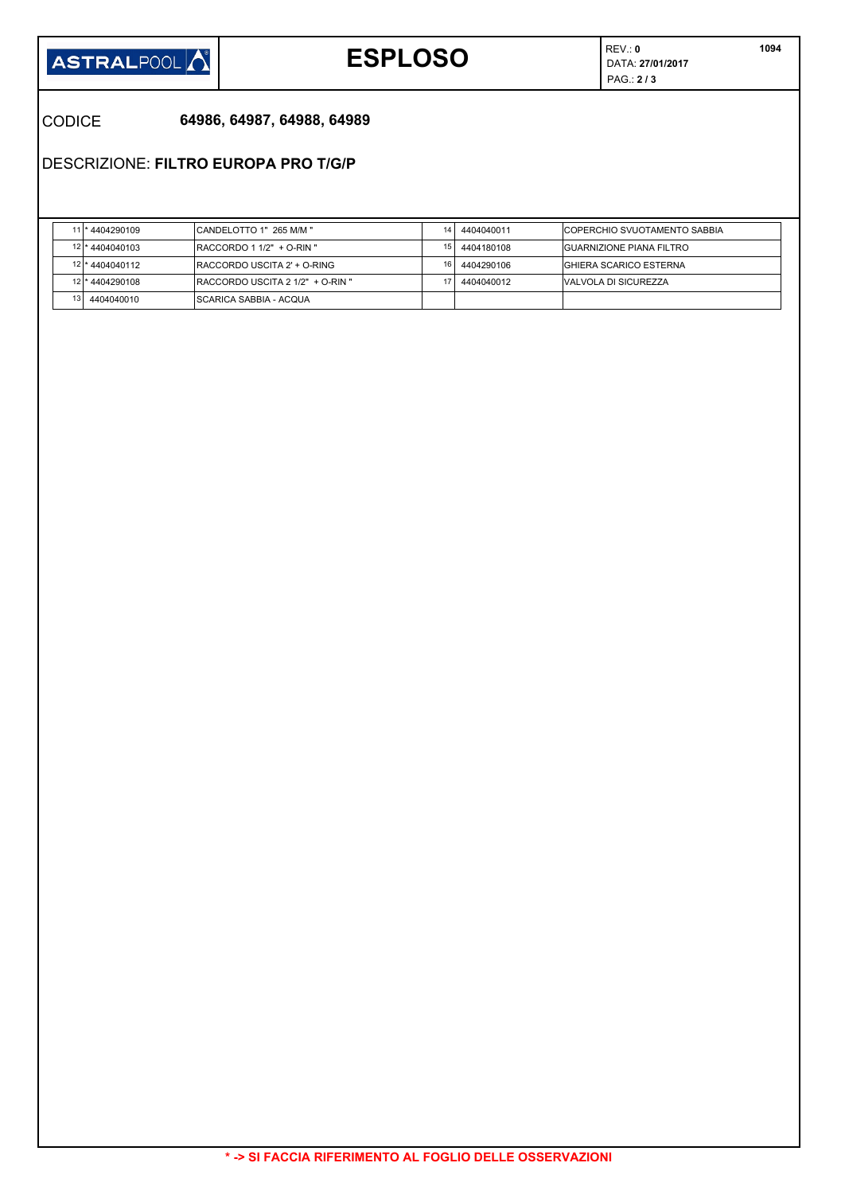

# **ESPLOSO DATA:** 27/01/2017

REV.: **0** PAG.: **2 / 3** 

### CODICE **64986, 64987, 64988, 64989**

DESCRIZIONE: **FILTRO EUROPA PRO T/G/P**

|                 | 11 * 4404290109 | CANDELOTTO 1" 265 M/M "                  | 14 | 4404040011 | <b>ICOPERCHIO SVUOTAMENTO SABBIA</b> |
|-----------------|-----------------|------------------------------------------|----|------------|--------------------------------------|
|                 | 12 * 4404040103 | $RACCORDO 1 1/2" + O-RIN"$               | 15 | 4404180108 | <b>IGUARNIZIONE PIANA FILTRO</b>     |
|                 | 12 * 4404040112 | <b>IRACCORDO USCITA 2' + O-RING</b>      | 16 | 4404290106 | <b>IGHIERA SCARICO ESTERNA</b>       |
|                 | 12 * 4404290108 | <b>IRACCORDO USCITA 2 1/2" + O-RIN "</b> |    | 4404040012 | <b>IVALVOLA DI SICUREZZA</b>         |
| 13 <sub>l</sub> | 4404040010      | <b>ISCARICA SABBIA - ACQUA</b>           |    |            |                                      |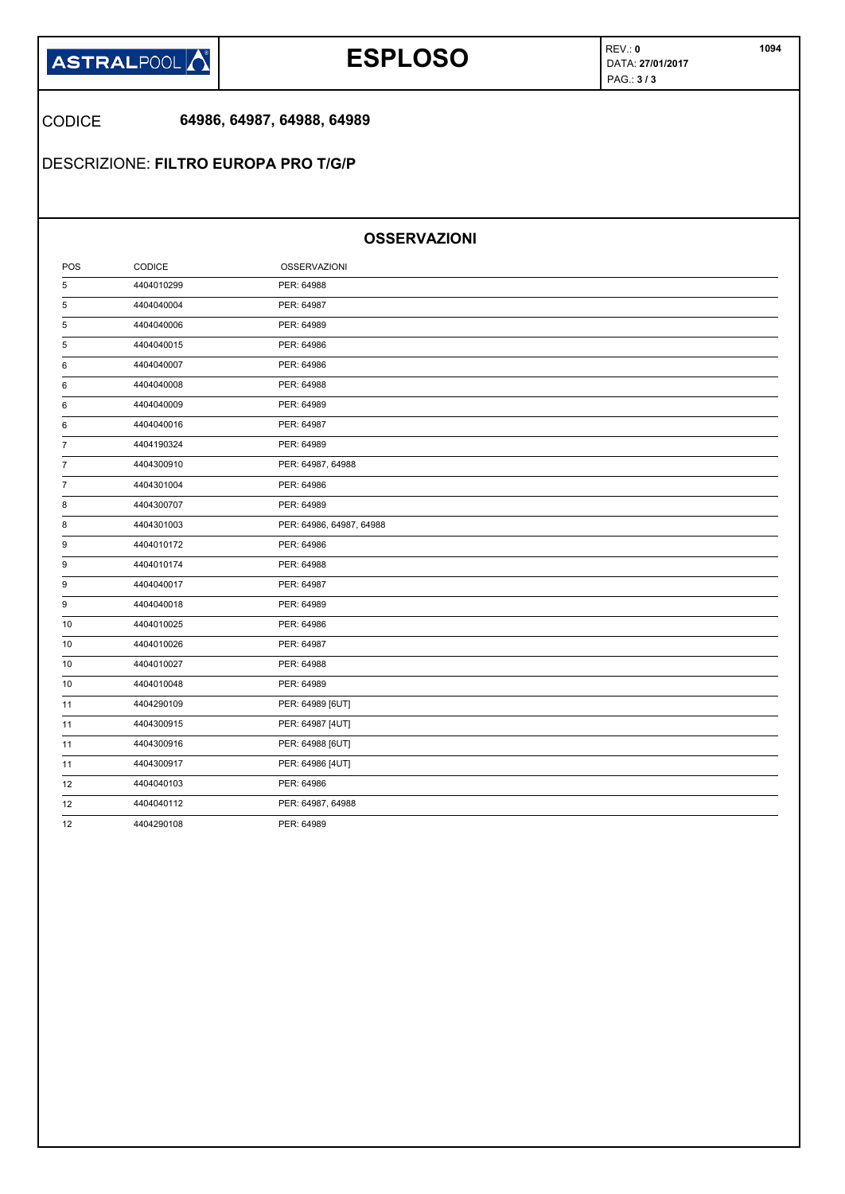

# **ESPLOSO DATA:** 27/01/2017

REV.: **0** PAG.: **3 / 3** 

CODICE **64986, 64987, 64988, 64989**

DESCRIZIONE: **FILTRO EUROPA PRO T/G/P**

### **OSSERVAZIONI**

| POS            | CODICE     | <b>OSSERVAZIONI</b>      |  |
|----------------|------------|--------------------------|--|
| 5              | 4404010299 | PER: 64988               |  |
| 5              | 4404040004 | PER: 64987               |  |
| 5              | 4404040006 | PER: 64989               |  |
| 5              | 4404040015 | PER: 64986               |  |
| 6              | 4404040007 | PER: 64986               |  |
| 6              | 4404040008 | PER: 64988               |  |
| 6              | 4404040009 | PER: 64989               |  |
| 6              | 4404040016 | PER: 64987               |  |
| 7              | 4404190324 | PER: 64989               |  |
| $\overline{7}$ | 4404300910 | PER: 64987, 64988        |  |
| 7              | 4404301004 | PER: 64986               |  |
| 8              | 4404300707 | PER: 64989               |  |
| 8              | 4404301003 | PER: 64986, 64987, 64988 |  |
| 9              | 4404010172 | PER: 64986               |  |
| 9              | 4404010174 | PER: 64988               |  |
| 9              | 4404040017 | PER: 64987               |  |
| 9              | 4404040018 | PER: 64989               |  |
| 10             | 4404010025 | PER: 64986               |  |
| 10             | 4404010026 | PER: 64987               |  |
| 10             | 4404010027 | PER: 64988               |  |
| 10             | 4404010048 | PER: 64989               |  |
| 11             | 4404290109 | PER: 64989 [6UT]         |  |
| 11             | 4404300915 | PER: 64987 [4UT]         |  |
| 11             | 4404300916 | PER: 64988 [6UT]         |  |
| 11             | 4404300917 | PER: 64986 [4UT]         |  |
| 12             | 4404040103 | PER: 64986               |  |
| 12             | 4404040112 | PER: 64987, 64988        |  |
| 12             | 4404290108 | PER: 64989               |  |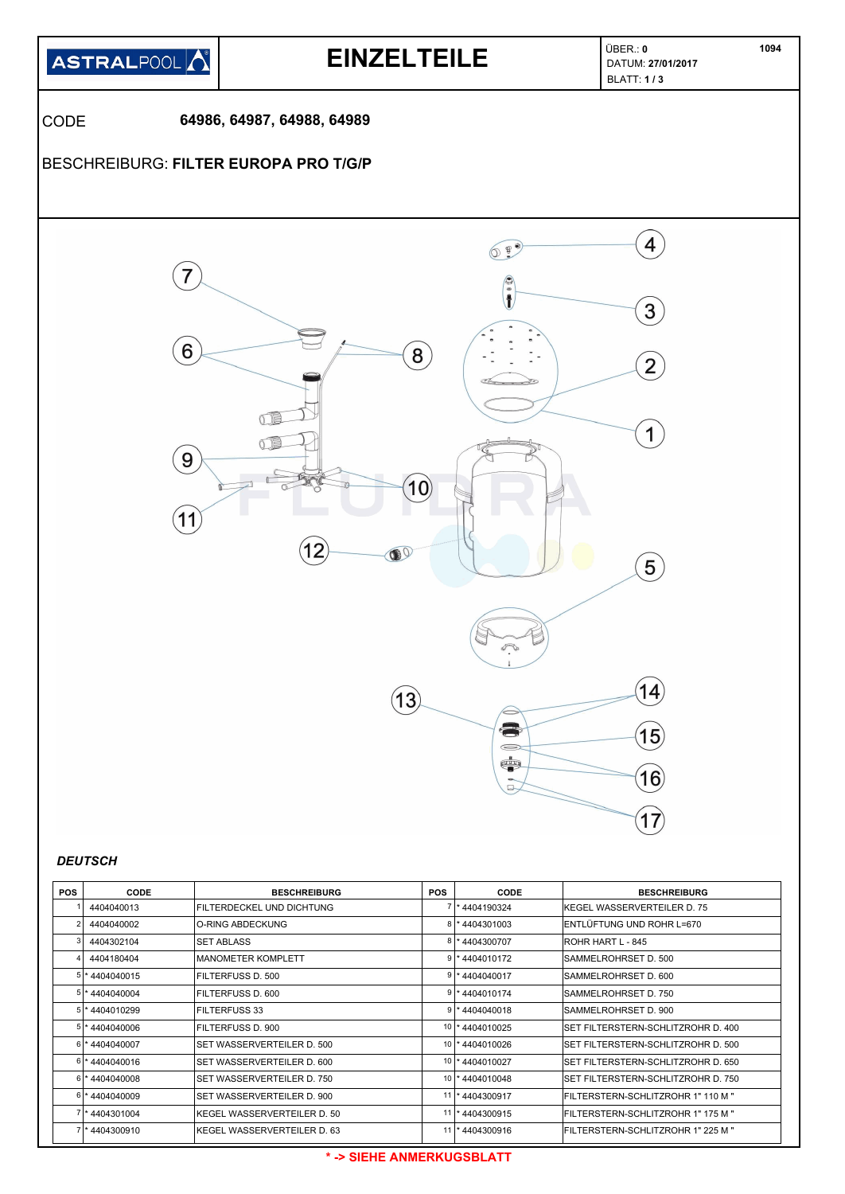

| 4404040013              | FILTERDECKEL UND DICHTUNG   |    | *4404190324        | IKEGEL WASSERVERTEILER D. 75        |
|-------------------------|-----------------------------|----|--------------------|-------------------------------------|
| 4404040002              | O-RING ABDECKUNG            |    | 8 * 4404301003     | IENTLÜFTUNG UND ROHR L=670          |
| 4404302104              | <b>SET ABLASS</b>           |    | 8 * 4404300707     | ROHR HART L - 845                   |
| 4404180404              | IMANOMETER KOMPLETT         |    | $9$ * 4404010172   | ISAMMELROHRSET D. 500               |
| 5 * 4404040015          | FILTERFUSS D. 500           |    | $9$   * 4404040017 | SAMMELROHRSET D. 600                |
| 5 * 4404040004          | FILTERFUSS D. 600           |    | 9 * 4404010174     | ISAMMELROHRSET D. 750               |
| 5 * 4404010299          | <b>FILTERFUSS 33</b>        |    | $9$ * 4404040018   | SAMMELROHRSET D. 900                |
| 5 * 4404040006          | FILTERFUSS D. 900           |    | 10 * 4404010025    | SET FILTERSTERN-SCHLITZROHR D. 400  |
| 6 * 4404040007          | ISET WASSERVERTEILER D. 500 | 10 | *4404010026        | ISET FILTERSTERN-SCHLITZROHR D. 500 |
| 6 * 4404040016          | SET WASSERVERTEILER D. 600  |    | 10   * 4404010027  | ISET FILTERSTERN-SCHLITZROHR D. 650 |
| $6$ * 4404040008        | ISET WASSERVERTEILER D. 750 | 10 | *4404010048        | ISET FILTERSTERN-SCHLITZROHR D. 750 |
| 6 *4404040009           | ISET WASSERVERTEILER D. 900 |    | 11  * 4404300917   | FILTERSTERN-SCHLITZROHR 1" 110 M "  |
| 7 * 4404301004          | KEGEL WASSERVERTEILER D. 50 |    | 11  * 4404300915   | FILTERSTERN-SCHLITZROHR 1" 175 M "  |
| <sup>*</sup> 4404300910 | KEGEL WASSERVERTEILER D. 63 |    | 11  * 4404300916   | FILTERSTERN-SCHLITZROHR 1" 225 M "  |
|                         |                             |    |                    |                                     |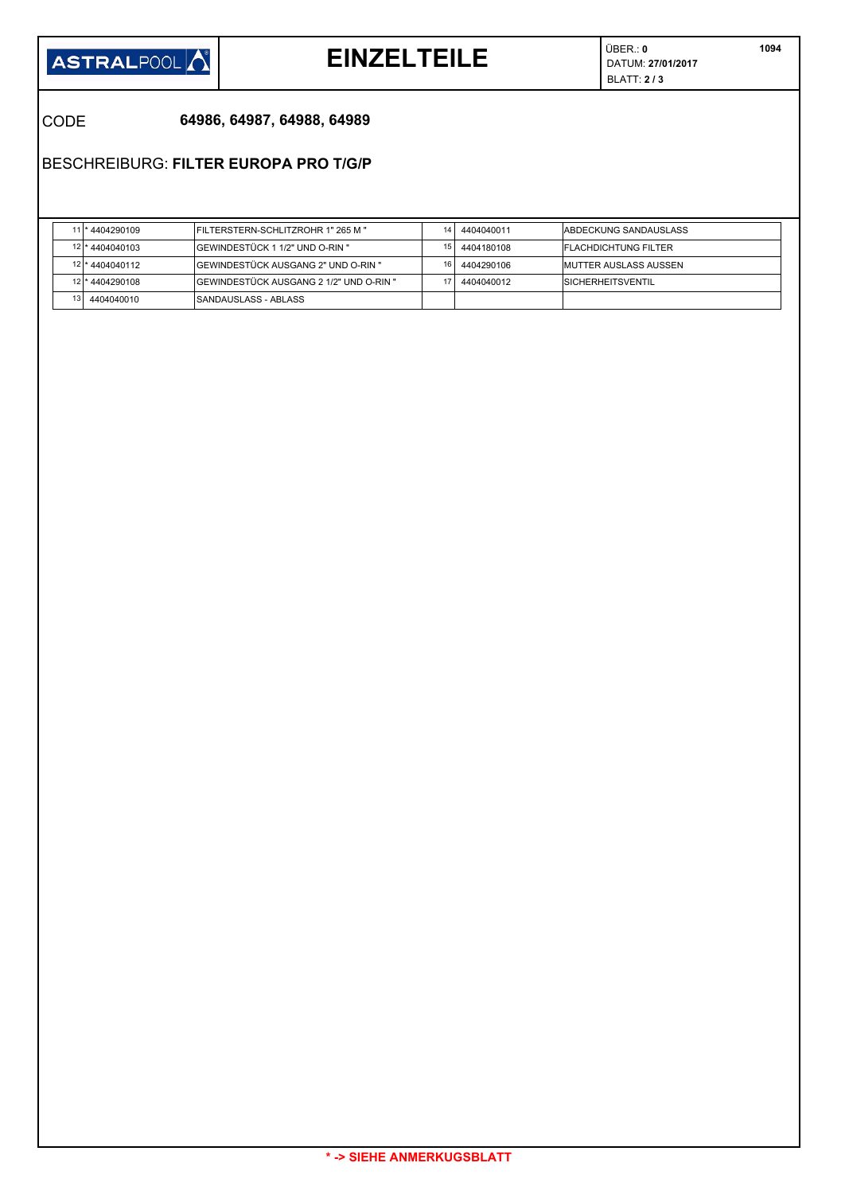

# **EINZELTEILE**  $\left| \begin{array}{c} \circ & \circ \\ \circ & \circ \\ \circ & \circ \end{array} \right|$

ÜBER.: **0** BLATT: **2 / 3** 

CODE **64986, 64987, 64988, 64989**

BESCHREIBURG: **FILTER EUROPA PRO T/G/P**

|                 | 11 * 4404290109 | IFILTERSTERN-SCHLITZROHR 1" 265 M "     | 14. | 4404040011 | IABDECKUNG SANDAUSLASS        |
|-----------------|-----------------|-----------------------------------------|-----|------------|-------------------------------|
|                 | 12 * 4404040103 | IGEWINDESTÜCK 1 1/2" UND O-RIN "        | 15  | 4404180108 | <b>IFLACHDICHTUNG FILTER</b>  |
|                 | 12 * 4404040112 | IGEWINDESTÜCK AUSGANG 2" UND O-RIN "    | 16  | 4404290106 | <b>IMUTTER AUSLASS AUSSEN</b> |
|                 | 12 * 4404290108 | GEWINDESTÜCK AUSGANG 2 1/2" UND O-RIN " |     | 4404040012 | <b>ISICHERHEITSVENTIL</b>     |
| 13 <sup>1</sup> | 4404040010      | ISANDAUSLASS - ABLASS                   |     |            |                               |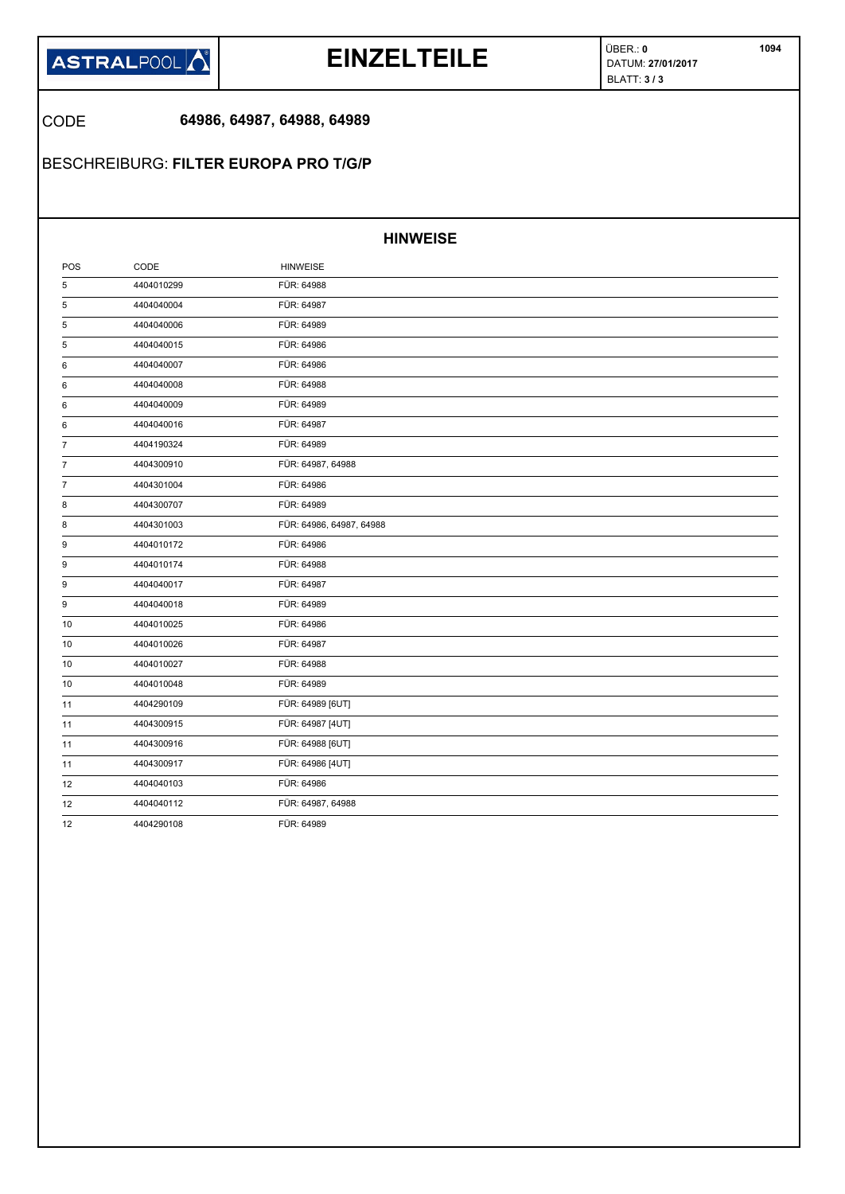

## **EINZELTEILE**  $\left| \begin{array}{c} \circ & \circ \\ \circ & \circ \\ \circ & \circ \end{array} \right|$

ÜBER.: **0** BLATT: **3 / 3** 

### CODE **64986, 64987, 64988, 64989**

BESCHREIBURG: **FILTER EUROPA PRO T/G/P**

#### **HINWEISE**

| POS            | CODE       | <b>HINWEISE</b>          |  |
|----------------|------------|--------------------------|--|
| 5              | 4404010299 | FÜR: 64988               |  |
| 5              | 4404040004 | FÜR: 64987               |  |
| 5              | 4404040006 | FÜR: 64989               |  |
| 5              | 4404040015 | FÜR: 64986               |  |
| 6              | 4404040007 | FÜR: 64986               |  |
| 6              | 4404040008 | FÜR: 64988               |  |
| 6              | 4404040009 | FÜR: 64989               |  |
| 6              | 4404040016 | FÜR: 64987               |  |
| $\overline{7}$ | 4404190324 | FÜR: 64989               |  |
| 7              | 4404300910 | FÜR: 64987, 64988        |  |
| $\overline{7}$ | 4404301004 | FÜR: 64986               |  |
| 8              | 4404300707 | FÜR: 64989               |  |
| 8              | 4404301003 | FÜR: 64986, 64987, 64988 |  |
| 9              | 4404010172 | FÜR: 64986               |  |
| 9              | 4404010174 | FÜR: 64988               |  |
| 9              | 4404040017 | FÜR: 64987               |  |
| 9              | 4404040018 | FÜR: 64989               |  |
| 10             | 4404010025 | FÜR: 64986               |  |
| 10             | 4404010026 | FÜR: 64987               |  |
| 10             | 4404010027 | FÜR: 64988               |  |
| 10             | 4404010048 | FÜR: 64989               |  |
| 11             | 4404290109 | FÜR: 64989 [6UT]         |  |
| 11             | 4404300915 | FÜR: 64987 [4UT]         |  |
| 11             | 4404300916 | FÜR: 64988 [6UT]         |  |
| 11             | 4404300917 | FÜR: 64986 [4UT]         |  |
| 12             | 4404040103 | FÜR: 64986               |  |
| 12             | 4404040112 | FÜR: 64987, 64988        |  |
| 12             | 4404290108 | FÜR: 64989               |  |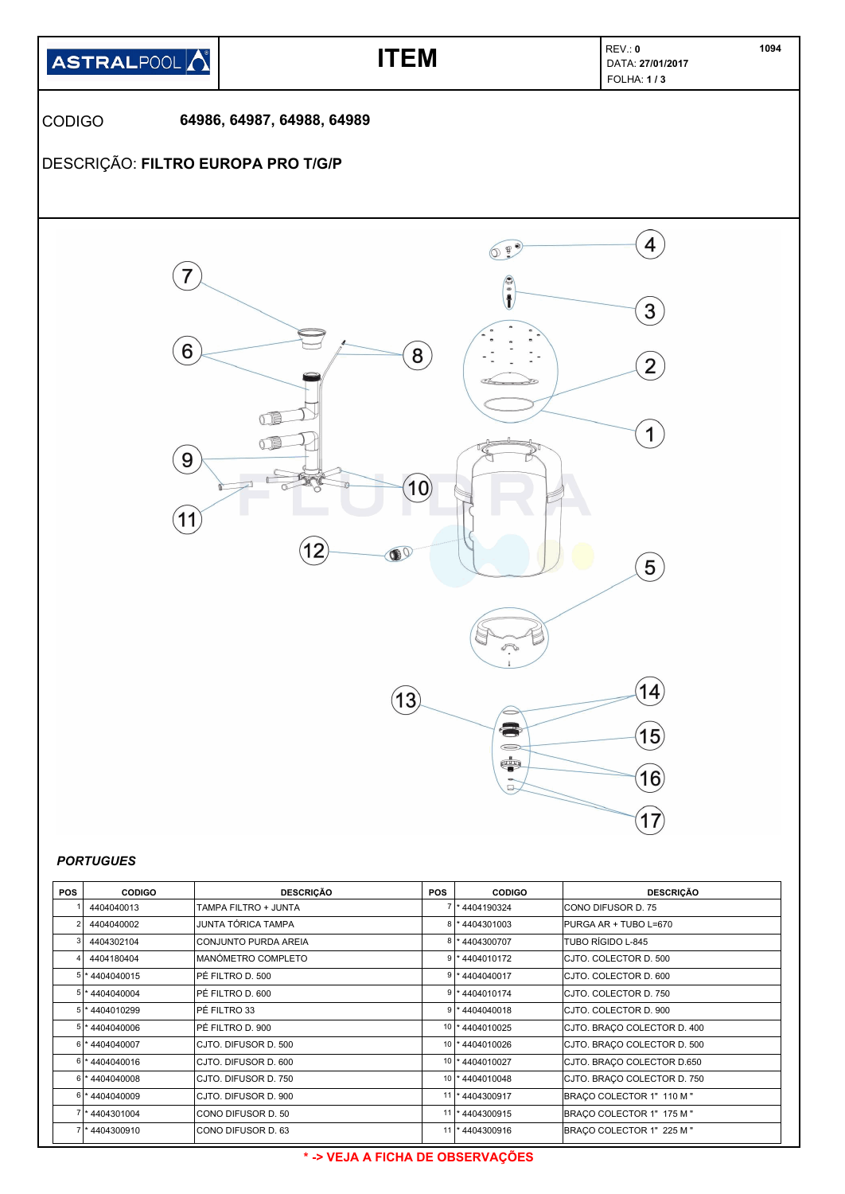

| <b>PORTUGUES</b> |  |
|------------------|--|
|------------------|--|

| <b>POS</b> | <b>CODIGO</b>    | <b>DESCRIÇÃO</b>     | <b>POS</b> | <b>CODIGO</b>     | <b>DESCRIÇÃO</b>            |
|------------|------------------|----------------------|------------|-------------------|-----------------------------|
|            | 4404040013       | TAMPA FILTRO + JUNTA |            | 1* 4404190324     | ICONO DIFUSOR D. 75         |
|            | 4404040002       | JUNTA TÓRICA TAMPA   |            | 8 * 4404301003    | PURGA AR + TUBO L=670       |
|            | 4404302104       | CONJUNTO PURDA AREIA |            | 8 * 4404300707    | TUBO RÍGIDO L-845           |
|            | 4404180404       | MANÓMETRO COMPLETO   |            | $9$  * 4404010172 | CJTO. COLECTOR D. 500       |
|            | 5 * 4404040015   | PÉ FILTRO D. 500     |            | $9$  * 4404040017 | CJTO. COLECTOR D. 600       |
|            | 5 * 4404040004   | PÉ FILTRO D. 600     |            | 9 * 4404010174    | CJTO, COLECTOR D. 750       |
|            | 5 * 4404010299   | PÉ FILTRO 33         |            | $9$ * 4404040018  | CJTO, COLECTOR D. 900       |
|            | 5 * 4404040006   | IPÉ FILTRO D. 900    |            | 10 * 4404010025   | CJTO. BRACO COLECTOR D. 400 |
|            | 6 * 4404040007   | CJTO. DIFUSOR D. 500 |            | 10 * 4404010026   | CJTO. BRACO COLECTOR D. 500 |
|            | 6 * 4404040016   | CJTO. DIFUSOR D. 600 |            | 10   * 4404010027 | CJTO. BRACO COLECTOR D.650  |
|            | $6$ * 4404040008 | CJTO, DIFUSOR D. 750 |            | 10 * 4404010048   | CJTO. BRACO COLECTOR D. 750 |
|            | 6 * 4404040009   | CJTO. DIFUSOR D. 900 |            | 11  * 4404300917  | BRAÇO COLECTOR 1" 110 M "   |
|            | 7 * 4404301004   | CONO DIFUSOR D. 50   |            | 11  * 4404300915  | BRACO COLECTOR 1" 175 M "   |
|            | *4404300910      | CONO DIFUSOR D. 63   |            | 11  * 4404300916  | BRACO COLECTOR 1" 225 M "   |

#### **\* -> VEJA A FICHA DE OBSERVAÇÕES**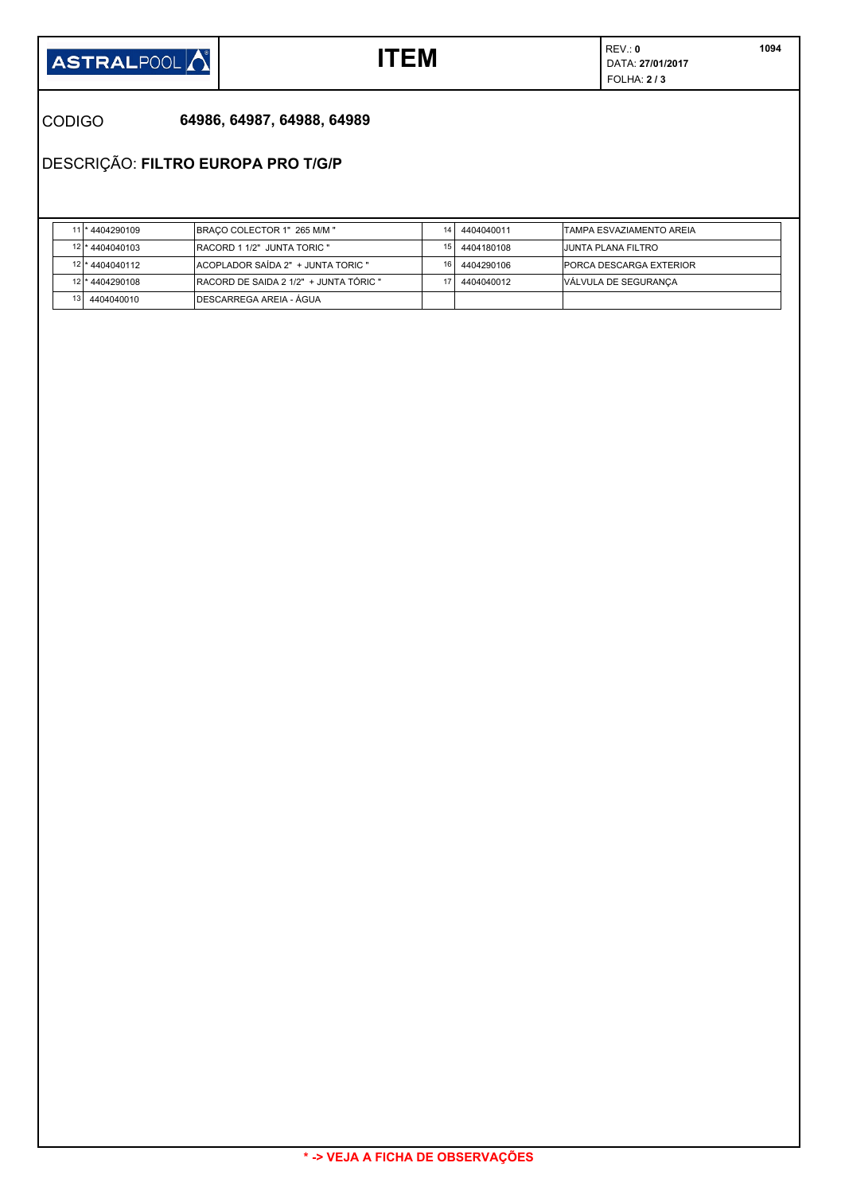

REV.: **0 ITEM**  $\sum_{\text{DATA: } 27/01/2017}$ FOLHA: **2 / 3** 

CODIGO **64986, 64987, 64988, 64989**

DESCRIÇÃO: **FILTRO EUROPA PRO T/G/P**

|                 | 11 * 4404290109 | <b>IBRACO COLECTOR 1" 265 M/M "</b>     | 14 | 4404040011 | <b>ITAMPA ESVAZIAMENTO AREIA</b> |
|-----------------|-----------------|-----------------------------------------|----|------------|----------------------------------|
|                 | 12 * 4404040103 | <b>IRACORD 1 1/2" JUNTA TORIC "</b>     | 15 | 4404180108 | <b>JUNTA PLANA FILTRO</b>        |
|                 | 12 * 4404040112 | ACOPLADOR SAÍDA 2" + JUNTA TORIC "      | 16 | 4404290106 | <b>PORCA DESCARGA EXTERIOR</b>   |
|                 | 12 * 4404290108 | IRACORD DE SAIDA 2 1/2" + JUNTA TÓRIC " |    | 4404040012 | <b>VÁLVULA DE SEGURANCA</b>      |
| 13 <sup>1</sup> | 4404040010      | IDESCARREGA AREIA - ÁGUA                |    |            |                                  |